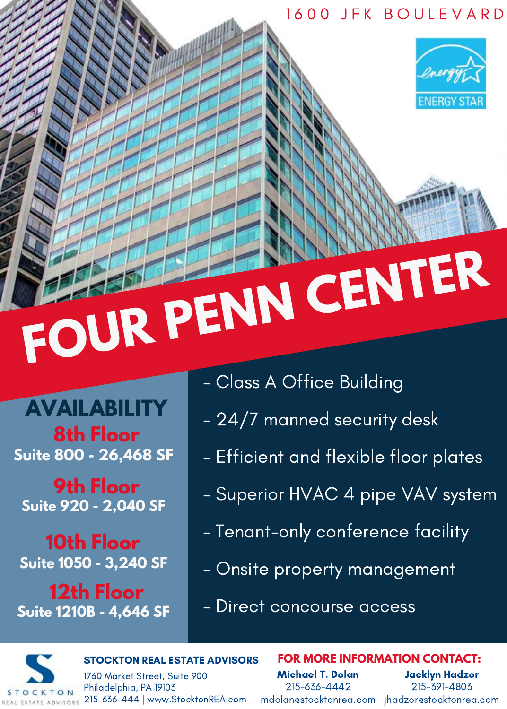### 1 6 0 0 J F K B O U L E V A R D



# **FOUR PENN CENTER**

**AVAILABILITY 8th Floor Suite 800 - 26,468 SF**

**9th Floor Suite 920 - 2,040 SF**

**10th Floor Suite 1050 - 3,240 SF**

**12th Floor Suite 1210B - 4,646 SF**

- Class A Office Building
- 24/7 manned security desk
- Efficient and flexible floor plates
- Superior HVAC 4 pipe VAV system
- Tenant-only conference facility
- Onsite property management
- Direct concourse access

STOCKTON REAL ESTATE ADVISORS

1760 Market Street, Suite 900 Philadelphia, PA 19103 KTON 215-636-444 | www.StocktonREA.com

Michael T. Dolan 215-636-4442 mdolan@stocktonrea.com jhadzor@stocktonrea.com

**FOR MORE INFORMATION CONTACT:**

Jacklyn Hadzor 215-391-4803